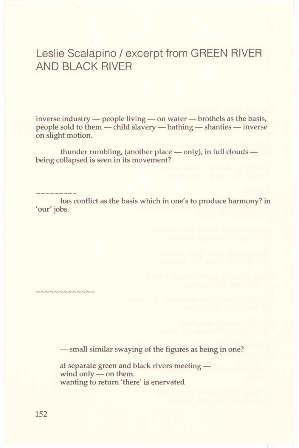## Leslie Scalapino / excerpt from GREEN RIVER AND BLACK RIVER

inverse industry - people living - on water - brothels as the basis, people sold to them - child slavery - bathing - shanties - inverse on slight motion.

thunder rumbling, (another place  $-$  only), in full clouds $$ being collapsed is seen in its movement?

**NNNNNNNNNNNNN** 

has conflict as the basis which in one's to produce harmony? in 'our' jobs.

- small similar swaying of the figures as being in one?

at separate green and black rivers meeting wind only  $-$  on them. wanting to return 'there' is enervated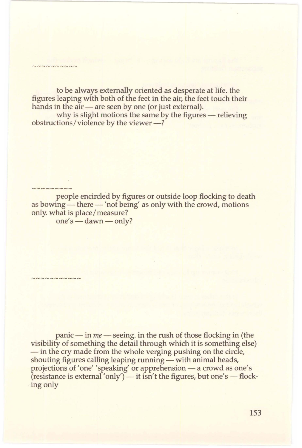to be always externally oriented as desperate at life. the figures leaping with both of the feet in the air, the feet touch their hands in the air — are seen by one (or just external).

why is slight motions the same by the figures - relieving obstructions/violence by the viewer-?

 $-m<sub>N</sub>$ 

 $m$ 

people encircled by figures or outside loop flocking to death as bowing — there — 'not being' as only with the crowd, motions only. what is place/measure? one's - dawn - only?

panic - in *me* - seeing. in the rush of those flocking in (the visibility of something the detail through which it is something else) - in the cry made from the whole verging pushing on the circle, shouting figures calling leaping running — with animal heads, projections of 'one' 'speaking' or apprehension — a crowd as one's  $(r \text{e} \cdot \text{e} \cdot \text{e} \cdot \text{e})$  and  $(r \text{e} \cdot \text{e} \cdot \text{e})$  is isn't the figures, but one's — flocking only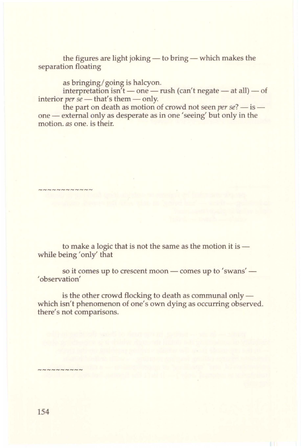the figures are light joking  $-$  to bring  $-$  which makes the separation floating

as bringing/ going is halcyon.

interpretation isn't — one — rush (can't negate — at all) — of interior *per se* - that's them - only.

the part on death as motion of crowd not seen *per se*?  $-$  is  $$ one - external only as desperate as in one 'seeing' but only in the motion. *as* one. is their.

to make a logic that is not the same as the motion it is  $$ while being 'only' that

so it comes up to crescent moon — comes up to 'swans' — ' observation'

is the other crowd flocking to death as communal only  $$ which isn't phenomenon of one's own dying as occurring observed. there's not comparisons.

**NNNNNNNNN** 

~~~~~~~~~~~~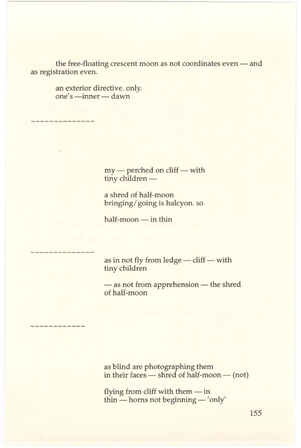the free-floating crescent moon as not coordinates even - and as registration even.

> an exterior directive. only.  $one's -inner - dawn$

**CONNADIANANANA** 

 $my$  - perched on cliff - with tiny children -

a shred of half-moon bringing/ going is halcyon. so

 $half-moon - in thin$ 

unnnnnnnn

as in not fly from ledge  $-$  cliff  $-$  with tiny children

- as not from apprehension - the shred of half-moon

~~~~~~~~~~~

as blind are photographing them in their faces  $-$  shred of half-moon  $-$  (not)

flying from cliff with them $-$  in thin - horns not beginning - 'only'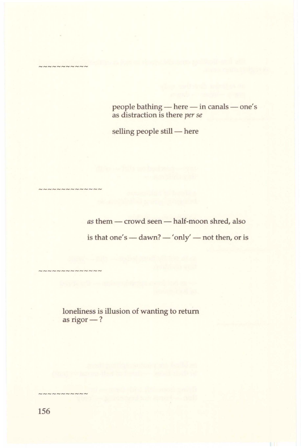people bathing - here - in canals - one's as distraction is there *per se* 

selling people still - here

as them - crowd seen - half-moon shred, also is that one's - dawn? - 'only' - not then, or is

loneliness is illusion of wanting to return as rigor-?

---------

 $N N N N N N N N$ 

------------

---------------